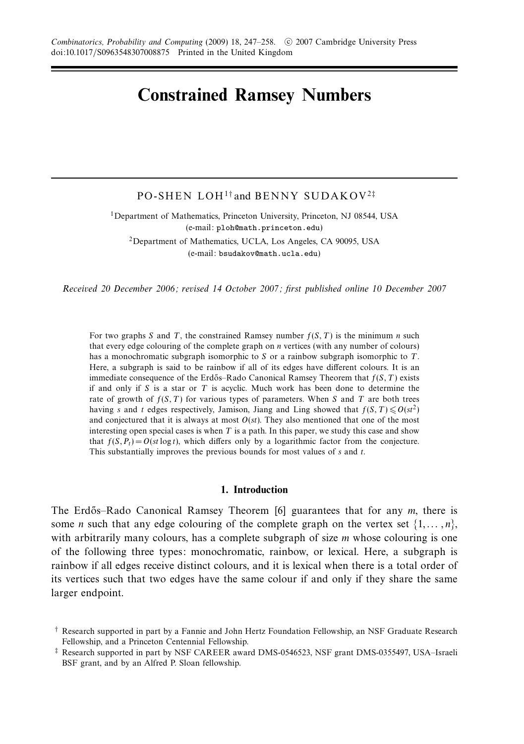# **Constrained Ramsey Numbers**

# PO-SHEN LOH<sup>1†</sup> and BENNY SUDAKOV<sup>2‡</sup>

<sup>1</sup>Department of Mathematics, Princeton University, Princeton, NJ 08544, USA (e-mail: ploh@math.princeton.edu)

2Department of Mathematics, UCLA, Los Angeles, CA 90095, USA (e-mail: bsudakov@math.ucla.edu)

Received 20 December 2006; revised 14 October 2007; first published online 10 December 2007

For two graphs *S* and *T*, the constrained Ramsey number *f*(*S,T*) is the minimum *n* such that every edge colouring of the complete graph on *n* vertices (with any number of colours) has a monochromatic subgraph isomorphic to *S* or a rainbow subgraph isomorphic to *T*. Here, a subgraph is said to be rainbow if all of its edges have different colours. It is an immediate consequence of the Erdős–Rado Canonical Ramsey Theorem that  $f(S, T)$  exists if and only if *S* is a star or *T* is acyclic. Much work has been done to determine the rate of growth of  $f(S, T)$  for various types of parameters. When *S* and *T* are both trees having *s* and *t* edges respectively, Jamison, Jiang and Ling showed that  $f(S, T) \leq O(st^2)$ and conjectured that it is always at most  $O(st)$ . They also mentioned that one of the most interesting open special cases is when *T* is a path. In this paper, we study this case and show that  $f(S, P_t) = O(st \log t)$ , which differs only by a logarithmic factor from the conjecture. This substantially improves the previous bounds for most values of *s* and *t*.

### **1. Introduction**

The Erdős–Rado Canonical Ramsey Theorem [6] guarantees that for any *m*, there is some *n* such that any edge colouring of the complete graph on the vertex set  $\{1, \ldots, n\}$ , with arbitrarily many colours, has a complete subgraph of size *m* whose colouring is one of the following three types: monochromatic, rainbow, or lexical. Here, a subgraph is rainbow if all edges receive distinct colours, and it is lexical when there is a total order of its vertices such that two edges have the same colour if and only if they share the same larger endpoint.

<sup>†</sup> Research supported in part by a Fannie and John Hertz Foundation Fellowship, an NSF Graduate Research Fellowship, and a Princeton Centennial Fellowship.

<sup>‡</sup> Research supported in part by NSF CAREER award DMS-0546523, NSF grant DMS-0355497, USA–Israeli BSF grant, and by an Alfred P. Sloan fellowship.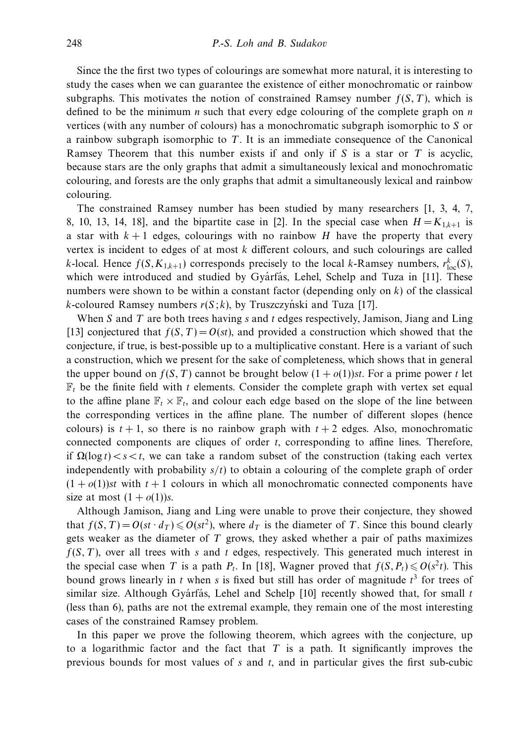Since the the first two types of colourings are somewhat more natural, it is interesting to study the cases when we can guarantee the existence of either monochromatic or rainbow subgraphs. This motivates the notion of constrained Ramsey number  $f(S, T)$ , which is defined to be the minimum *n* such that every edge colouring of the complete graph on *n* vertices (with any number of colours) has a monochromatic subgraph isomorphic to *S* or a rainbow subgraph isomorphic to *T*. It is an immediate consequence of the Canonical Ramsey Theorem that this number exists if and only if *S* is a star or *T* is acyclic, because stars are the only graphs that admit a simultaneously lexical and monochromatic colouring, and forests are the only graphs that admit a simultaneously lexical and rainbow colouring.

The constrained Ramsey number has been studied by many researchers [1, 3, 4, 7, 8, 10, 13, 14, 18], and the bipartite case in [2]. In the special case when  $H = K_{1,k+1}$  is a star with  $k+1$  edges, colourings with no rainbow *H* have the property that every vertex is incident to edges of at most *k* different colours, and such colourings are called *k*-local. Hence  $f(S, K_{1,k+1})$  corresponds precisely to the local *k*-Ramsey numbers,  $r_{\text{loc}}^k(S)$ , which were introduced and studied by Gyarfas, Lehel, Schelp and Tuza in  $[11]$ . These numbers were shown to be within a constant factor (depending only on *k*) of the classical *k*-coloured Ramsey numbers  $r(S; k)$ , by Truszczyński and Tuza [17].

When *S* and *T* are both trees having *s* and *t* edges respectively, Jamison, Jiang and Ling [13] conjectured that  $f(S, T) = O(st)$ , and provided a construction which showed that the conjecture, if true, is best-possible up to a multiplicative constant. Here is a variant of such a construction, which we present for the sake of completeness, which shows that in general the upper bound on  $f(S, T)$  cannot be brought below  $(1 + o(1))$ st. For a prime power t let  $\mathbb{F}_t$  be the finite field with *t* elements. Consider the complete graph with vertex set equal to the affine plane  $\mathbb{F}_t \times \mathbb{F}_t$ , and colour each edge based on the slope of the line between the corresponding vertices in the affine plane. The number of different slopes (hence colours) is  $t + 1$ , so there is no rainbow graph with  $t + 2$  edges. Also, monochromatic connected components are cliques of order *t*, corresponding to affine lines. Therefore, if  $\Omega(\log t) < s < t$ , we can take a random subset of the construction (taking each vertex independently with probability *s/t*) to obtain a colouring of the complete graph of order  $(1 + o(1))$ st with  $t + 1$  colours in which all monochromatic connected components have size at most  $(1 + o(1))s$ .

Although Jamison, Jiang and Ling were unable to prove their conjecture, they showed that  $f(S, T) = O(st \cdot d_T) \leqslant O(st^2)$ , where  $d_T$  is the diameter of *T*. Since this bound clearly gets weaker as the diameter of *T* grows, they asked whether a pair of paths maximizes *f*(*S,T*), over all trees with *s* and *t* edges, respectively. This generated much interest in the special case when *T* is a path  $P_t$ . In [18], Wagner proved that  $f(S, P_t) \leq O(s^2 t)$ . This bound grows linearly in *t* when *s* is fixed but still has order of magnitude *t* <sup>3</sup> for trees of similar size. Although Gyárfás, Lehel and Schelp  $[10]$  recently showed that, for small t (less than 6), paths are not the extremal example, they remain one of the most interesting cases of the constrained Ramsey problem.

In this paper we prove the following theorem, which agrees with the conjecture, up to a logarithmic factor and the fact that *T* is a path. It significantly improves the previous bounds for most values of *s* and *t*, and in particular gives the first sub-cubic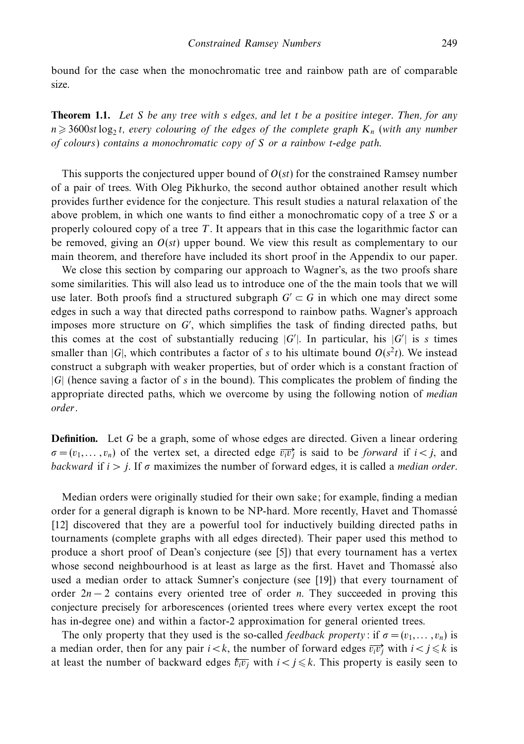bound for the case when the monochromatic tree and rainbow path are of comparable size.

**Theorem 1.1.** Let *S* be any tree with *s* edges, and let *t* be a positive integer. Then, for any  $n \geqslant 3600$ st log<sub>2</sub> *t*, every colouring of the edges of the complete graph  $K_n$  (with any number of colours) contains a monochromatic copy of *S* or a rainbow *t*-edge path.

This supports the conjectured upper bound of *O*(*st*) for the constrained Ramsey number of a pair of trees. With Oleg Pikhurko, the second author obtained another result which provides further evidence for the conjecture. This result studies a natural relaxation of the above problem, in which one wants to find either a monochromatic copy of a tree *S* or a properly coloured copy of a tree *T*. It appears that in this case the logarithmic factor can be removed, giving an *O*(*st*) upper bound. We view this result as complementary to our main theorem, and therefore have included its short proof in the Appendix to our paper.

We close this section by comparing our approach to Wagner's, as the two proofs share some similarities. This will also lead us to introduce one of the the main tools that we will use later. Both proofs find a structured subgraph  $G' \subset G$  in which one may direct some edges in such a way that directed paths correspond to rainbow paths. Wagner's approach imposes more structure on *G* , which simplifies the task of finding directed paths, but this comes at the cost of substantially reducing  $|G'|$ . In particular, his  $|G'|$  is *s* times smaller than  $|G|$ , which contributes a factor of *s* to his ultimate bound  $O(s^2t)$ . We instead construct a subgraph with weaker properties, but of order which is a constant fraction of |*G*| (hence saving a factor of *s* in the bound). This complicates the problem of finding the appropriate directed paths, which we overcome by using the following notion of median order.

**Definition.** Let *G* be a graph, some of whose edges are directed. Given a linear ordering  $\sigma = (v_1, \dots, v_n)$  of the vertex set, a directed edge  $\overrightarrow{v_i v_j}$  is said to be *forward* if  $i < j$ , and backward if  $i > j$ . If  $\sigma$  maximizes the number of forward edges, it is called a *median order*.

Median orders were originally studied for their own sake; for example, finding a median order for a general digraph is known to be NP-hard. More recently, Havet and Thomasse´ [12] discovered that they are a powerful tool for inductively building directed paths in tournaments (complete graphs with all edges directed). Their paper used this method to produce a short proof of Dean's conjecture (see [5]) that every tournament has a vertex whose second neighbourhood is at least as large as the first. Havet and Thomassé also used a median order to attack Sumner's conjecture (see [19]) that every tournament of order 2*n* − 2 contains every oriented tree of order *n*. They succeeded in proving this conjecture precisely for arborescences (oriented trees where every vertex except the root has in-degree one) and within a factor-2 approximation for general oriented trees.

The only property that they used is the so-called *feedback property*: if  $\sigma = (v_1, \ldots, v_n)$  is a median order, then for any pair  $i < k$ , the number of forward edges  $\overrightarrow{v_i v_j}$  with  $i < j \leq k$  is at least the number of backward edges  $\overline{v_i v_j}$  with  $i < j \leq k$ . This property is easily seen to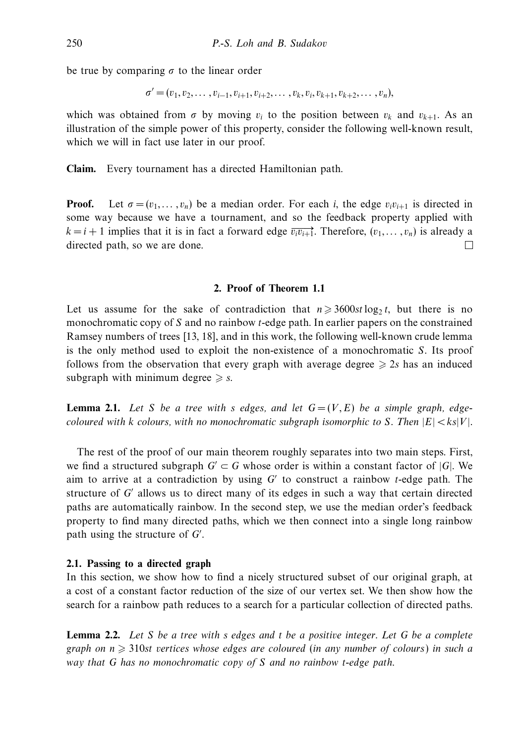be true by comparing *σ* to the linear order

$$
\sigma' = (v_1, v_2, \ldots, v_{i-1}, v_{i+1}, v_{i+2}, \ldots, v_k, v_i, v_{k+1}, v_{k+2}, \ldots, v_n),
$$

which was obtained from  $\sigma$  by moving  $v_i$  to the position between  $v_k$  and  $v_{k+1}$ . As an illustration of the simple power of this property, consider the following well-known result, which we will in fact use later in our proof.

**Claim.** Every tournament has a directed Hamiltonian path.

**Proof.** Let  $\sigma = (v_1, \ldots, v_n)$  be a median order. For each *i*, the edge  $v_i v_{i+1}$  is directed in some way because we have a tournament, and so the feedback property applied with  $k = i + 1$  implies that it is in fact a forward edge  $\overline{v_i v_{i+1}}$ . Therefore,  $(v_1, \ldots, v_n)$  is already a directed path, so we are done.  $\Box$ 

# **2. Proof of Theorem 1.1**

Let us assume for the sake of contradiction that  $n \geq 3600st \log_2 t$ , but there is no monochromatic copy of *S* and no rainbow *t*-edge path. In earlier papers on the constrained Ramsey numbers of trees [13, 18], and in this work, the following well-known crude lemma is the only method used to exploit the non-existence of a monochromatic *S*. Its proof follows from the observation that every graph with average degree  $\geq 2s$  has an induced subgraph with minimum degree  $\geq$  s.

**Lemma 2.1.** Let *S* be a tree with *s* edges, and let  $G = (V, E)$  be a simple graph, edgecoloured with *k* colours, with no monochromatic subgraph isomorphic to *S*. Then  $|E| < k s |V|$ .

The rest of the proof of our main theorem roughly separates into two main steps. First, we find a structured subgraph  $G' \subset G$  whose order is within a constant factor of  $|G|$ . We aim to arrive at a contradiction by using *G* to construct a rainbow *t*-edge path. The structure of *G* allows us to direct many of its edges in such a way that certain directed paths are automatically rainbow. In the second step, we use the median order's feedback property to find many directed paths, which we then connect into a single long rainbow path using the structure of *G* .

### **2.1. Passing to a directed graph**

In this section, we show how to find a nicely structured subset of our original graph, at a cost of a constant factor reduction of the size of our vertex set. We then show how the search for a rainbow path reduces to a search for a particular collection of directed paths.

**Lemma 2.2.** Let *S* be a tree with *s* edges and *t* be a positive integer. Let *G* be a complete graph on  $n \geqslant 310$ st vertices whose edges are coloured (in any number of colours) in such a way that *G* has no monochromatic copy of *S* and no rainbow *t*-edge path.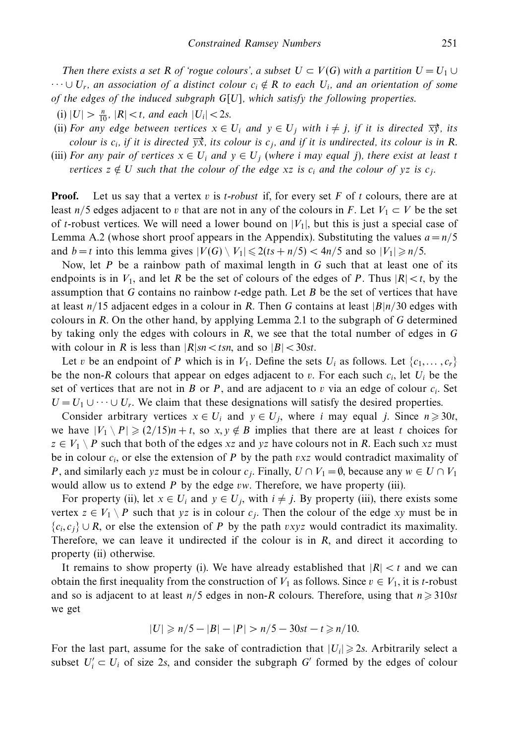Then there exists a set R of 'rogue colours', a subset  $U \subset V(G)$  with a partition  $U = U_1 \cup$  $\cdots \cup U_r$ , an association of a distinct colour  $c_i \notin R$  to each  $U_i$ , and an orientation of some of the edges of the induced subgraph *G*[*U*], which satisfy the following properties.

 $(i) |U| > \frac{n}{10}$ ,  $|R| < t$ , and each  $|U_i| < 2s$ .

- (ii) For any edge between vertices  $x \in U_i$  and  $y \in U_j$  with  $i \neq j$ , if it is directed  $\overrightarrow{xy}$ , its colour is  $c_i$ , if it is directed  $\overrightarrow{y}$ , its colour is  $c_j$ , and if it is undirected, its colour is in *R*.
- (iii) For any pair of vertices  $x \in U_i$  and  $y \in U_j$  (where *i* may equal *j*), there exist at least *t* vertices  $z \notin U$  such that the colour of the edge  $xz$  is  $c_i$  and the colour of  $yz$  is  $c_j$ .

**Proof.** Let us say that a vertex *v* is *t*-robust if, for every set *F* of *t* colours, there are at least *n/5* edges adjacent to *v* that are not in any of the colours in *F*. Let  $V_1 \subset V$  be the set of *t*-robust vertices. We will need a lower bound on  $|V_1|$ , but this is just a special case of Lemma A.2 (whose short proof appears in the Appendix). Substituting the values  $a = n/5$ and  $b = t$  into this lemma gives  $|V(G) \setminus V_1| \leq 2(ts + n/5) < 4n/5$  and so  $|V_1| \geq n/5$ .

Now, let *P* be a rainbow path of maximal length in *G* such that at least one of its endpoints is in  $V_1$ , and let *R* be the set of colours of the edges of *P*. Thus  $|R| < t$ , by the assumption that *G* contains no rainbow *t*-edge path. Let *B* be the set of vertices that have at least *n/*15 adjacent edges in a colour in *R*. Then *G* contains at least |*B*|*n/*30 edges with colours in *R*. On the other hand, by applying Lemma 2.1 to the subgraph of *G* determined by taking only the edges with colours in *R*, we see that the total number of edges in *G* with colour in *R* is less than  $|R|sn < tsn$ , and so  $|B| < 30st$ .

Let *v* be an endpoint of *P* which is in  $V_1$ . Define the sets  $U_i$  as follows. Let  $\{c_1, \ldots, c_r\}$ be the non-*R* colours that appear on edges adjacent to *v*. For each such *ci*, let *Ui* be the set of vertices that are not in *B* or *P*, and are adjacent to *v* via an edge of colour *ci*. Set  $U = U_1 \cup \cdots \cup U_r$ . We claim that these designations will satisfy the desired properties.

Consider arbitrary vertices  $x \in U_i$  and  $y \in U_j$ , where *i* may equal *j*. Since  $n \ge 30t$ , we have  $|V_1 \setminus P| \geq (2/15)n + t$ , so  $x, y \notin B$  implies that there are at least *t* choices for  $z \in V_1 \setminus P$  such that both of the edges *xz* and *yz* have colours not in *R*. Each such *xz* must be in colour *ci*, or else the extension of *P* by the path *vxz* would contradict maximality of *P*, and similarly each *yz* must be in colour *c<sub>j</sub>*. Finally,  $U \cap V_1 = \emptyset$ , because any  $w \in U \cap V_1$ would allow us to extend *P* by the edge *vw*. Therefore, we have property (iii).

For property (ii), let  $x \in U_i$  and  $y \in U_j$ , with  $i \neq j$ . By property (iii), there exists some vertex  $z \in V_1 \setminus P$  such that *yz* is in colour  $c_j$ . Then the colour of the edge *xy* must be in {*ci, cj*} ∪ *R*, or else the extension of *P* by the path *vxyz* would contradict its maximality. Therefore, we can leave it undirected if the colour is in *R*, and direct it according to property (ii) otherwise.

It remains to show property (i). We have already established that  $|R| < t$  and we can obtain the first inequality from the construction of  $V_1$  as follows. Since  $v \in V_1$ , it is *t*-robust and so is adjacent to at least  $n/5$  edges in non-*R* colours. Therefore, using that  $n \geq 310st$ we get

$$
|U| \ge n/5 - |B| - |P| > n/5 - 30st - t \ge n/10.
$$

For the last part, assume for the sake of contradiction that  $|U_i| \geq 2s$ . Arbitrarily select a subset  $U_i' \subset U_i$  of size 2*s*, and consider the subgraph *G'* formed by the edges of colour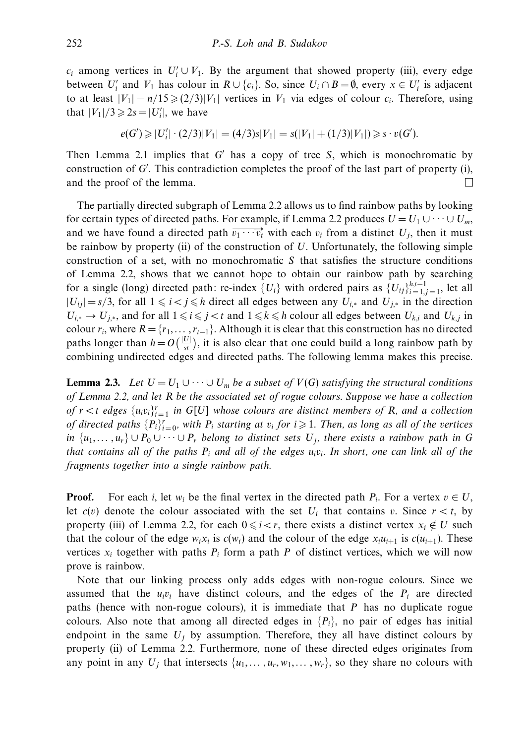$c_i$  among vertices in  $U'_i \cup V_1$ . By the argument that showed property (iii), every edge between  $U'_i$  and  $V_1$  has colour in  $R \cup \{c_i\}$ . So, since  $U_i \cap B = \emptyset$ , every  $x \in U'_i$  is adjacent to at least  $|V_1| - n/15 \geq (2/3)|V_1|$  vertices in  $V_1$  via edges of colour  $c_i$ . Therefore, using that  $|V_1|/3 \ge 2s = |U'_i|$ , we have

$$
e(G') \geq |U'_i| \cdot (2/3)|V_1| = (4/3)s|V_1| = s(|V_1| + (1/3)|V_1|) \geq s \cdot v(G').
$$

Then Lemma 2.1 implies that *G* has a copy of tree *S*, which is monochromatic by construction of *G* . This contradiction completes the proof of the last part of property (i), and the proof of the lemma.  $\Box$ 

The partially directed subgraph of Lemma 2.2 allows us to find rainbow paths by looking for certain types of directed paths. For example, if Lemma 2.2 produces  $U = U_1 \cup \cdots \cup U_m$ , and we have found a directed path  $\overrightarrow{v_1 \cdots v_t}$  with each  $v_i$  from a distinct  $U_j$ , then it must be rainbow by property (ii) of the construction of *U*. Unfortunately, the following simple construction of a set, with no monochromatic *S* that satisfies the structure conditions of Lemma 2.2, shows that we cannot hope to obtain our rainbow path by searching for a single (long) directed path: re-index  ${U_i}$  with ordered pairs as  ${U_{ij}}_{i=1,j=1}^{h,t-1}$ , let all  $|U_{ij}|$  = *s*/3, for all 1 ≤ *i* < *j* ≤ *h* direct all edges between any  $U_{i,*}$  and  $U_{j,*}$  in the direction *U*<sub>*i*,∗</sub> → *U*<sub>*j*,∗</sub>, and for all  $1 \le i \le j < t$  and  $1 \le k \le h$  colour all edges between *U*<sub>*k*,*i*</sub> and *U*<sub>*k*,*j*</sub> in colour  $r_i$ , where  $R = \{r_1, \ldots, r_{t-1}\}$ . Although it is clear that this construction has no directed paths longer than  $h = O\left(\frac{|U|}{st}\right)$ , it is also clear that one could build a long rainbow path by combining undirected edges and directed paths. The following lemma makes this precise.

**Lemma 2.3.** Let  $U = U_1 \cup \cdots \cup U_m$  be a subset of  $V(G)$  satisfying the structural conditions of Lemma 2.2, and let *R* be the associated set of rogue colours. Suppose we have a collection of  $r < t$  edges  $\{u_i v_i\}_{i=1}^r$  in  $G[U]$  whose colours are distinct members of *R*, and a collection of directed paths  $\{P_i\}_{i=0}^r$ , with  $P_i$  starting at  $v_i$  for  $i \geqslant 1$ . Then, as long as all of the vertices *in*  $\{u_1, \ldots, u_r\} \cup P_0 \cup \cdots \cup P_r$  belong to distinct sets  $U_j$ , there exists a rainbow path in *G* that contains all of the paths *Pi* and all of the edges *uivi*. In short, one can link all of the fragments together into a single rainbow path.

**Proof.** For each *i*, let *w<sub>i</sub>* be the final vertex in the directed path  $P_i$ . For a vertex  $v \in U$ , let  $c(v)$  denote the colour associated with the set  $U_i$  that contains *v*. Since  $r < t$ , by property (iii) of Lemma 2.2, for each  $0 \le i < r$ , there exists a distinct vertex  $x_i \notin U$  such that the colour of the edge  $w_i x_i$  is  $c(w_i)$  and the colour of the edge  $x_i u_{i+1}$  is  $c(u_{i+1})$ . These vertices  $x_i$  together with paths  $P_i$  form a path  $P$  of distinct vertices, which we will now prove is rainbow.

Note that our linking process only adds edges with non-rogue colours. Since we assumed that the  $u_i v_i$  have distinct colours, and the edges of the  $P_i$  are directed paths (hence with non-rogue colours), it is immediate that *P* has no duplicate rogue colours. Also note that among all directed edges in  ${P_i}$ , no pair of edges has initial endpoint in the same  $U_i$  by assumption. Therefore, they all have distinct colours by property (ii) of Lemma 2.2. Furthermore, none of these directed edges originates from any point in any  $U_j$  that intersects  $\{u_1, \ldots, u_r, w_1, \ldots, w_r\}$ , so they share no colours with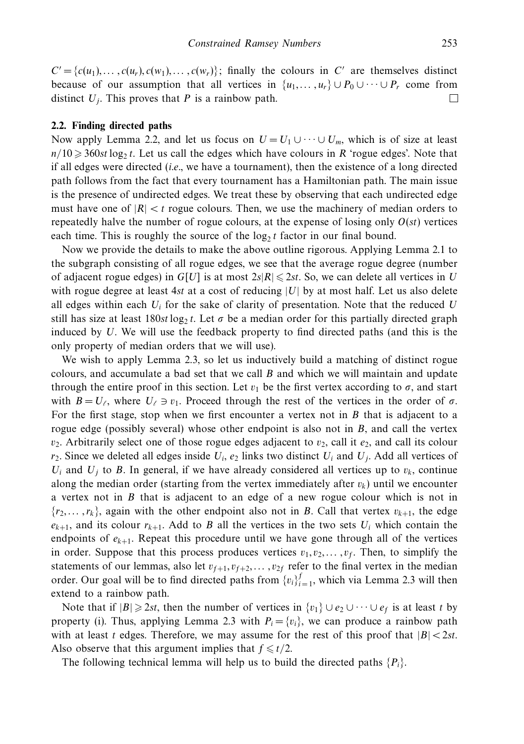$C' = \{c(u_1), \ldots, c(u_r), c(w_r), \ldots, c(w_r)\}$ ; finally the colours in *C'* are themselves distinct because of our assumption that all vertices in  $\{u_1, \ldots, u_r\} \cup P_0 \cup \cdots \cup P_r$  come from distinct  $U_i$ . This proves that  $P$  is a rainbow path.  $\Box$ 

#### **2.2. Finding directed paths**

Now apply Lemma 2.2, and let us focus on  $U = U_1 \cup \cdots \cup U_m$ , which is of size at least  $n/10 \geqslant 360st \log_2 t$ . Let us call the edges which have colours in *R* 'rogue edges'. Note that if all edges were directed  $(i.e.,$  we have a tournament), then the existence of a long directed path follows from the fact that every tournament has a Hamiltonian path. The main issue is the presence of undirected edges. We treat these by observing that each undirected edge must have one of  $|R| < t$  rogue colours. Then, we use the machinery of median orders to repeatedly halve the number of rogue colours, at the expense of losing only  $O(st)$  vertices each time. This is roughly the source of the  $\log_2 t$  factor in our final bound.

Now we provide the details to make the above outline rigorous. Applying Lemma 2.1 to the subgraph consisting of all rogue edges, we see that the average rogue degree (number of adjacent rogue edges) in  $G[U]$  is at most  $2s|R| \leq 2st$ . So, we can delete all vertices in *U* with rogue degree at least 4*st* at a cost of reducing  $|U|$  by at most half. Let us also delete all edges within each  $U_i$  for the sake of clarity of presentation. Note that the reduced  $U$ still has size at least  $180st \log_2 t$ . Let  $\sigma$  be a median order for this partially directed graph induced by *U*. We will use the feedback property to find directed paths (and this is the only property of median orders that we will use).

We wish to apply Lemma 2.3, so let us inductively build a matching of distinct rogue colours, and accumulate a bad set that we call *B* and which we will maintain and update through the entire proof in this section. Let  $v_1$  be the first vertex according to  $\sigma$ , and start with  $B = U_{\ell}$ , where  $U_{\ell} \ni v_1$ . Proceed through the rest of the vertices in the order of  $\sigma$ . For the first stage, stop when we first encounter a vertex not in *B* that is adjacent to a rogue edge (possibly several) whose other endpoint is also not in *B*, and call the vertex  $v_2$ . Arbitrarily select one of those rogue edges adjacent to  $v_2$ , call it  $e_2$ , and call its colour  $r_2$ . Since we deleted all edges inside  $U_i$ ,  $e_2$  links two distinct  $U_i$  and  $U_j$ . Add all vertices of  $U_i$  and  $U_j$  to *B*. In general, if we have already considered all vertices up to  $v_k$ , continue along the median order (starting from the vertex immediately after  $v_k$ ) until we encounter a vertex not in *B* that is adjacent to an edge of a new rogue colour which is not in  $\{r_2, \ldots, r_k\}$ , again with the other endpoint also not in *B*. Call that vertex  $v_{k+1}$ , the edge  $e_{k+1}$ , and its colour  $r_{k+1}$ . Add to *B* all the vertices in the two sets  $U_i$  which contain the endpoints of  $e_{k+1}$ . Repeat this procedure until we have gone through all of the vertices in order. Suppose that this process produces vertices  $v_1, v_2, \ldots, v_f$ . Then, to simplify the statements of our lemmas, also let  $v_{f+1}, v_{f+2}, \ldots, v_{2f}$  refer to the final vertex in the median order. Our goal will be to find directed paths from  ${v_i}_{i=1}^f$ , which via Lemma 2.3 will then extend to a rainbow path.

Note that if  $|B| \ge 2st$ , then the number of vertices in  $\{v_1\} \cup e_2 \cup \cdots \cup e_f$  is at least *t* by property (i). Thus, applying Lemma 2.3 with  $P_i = \{v_i\}$ , we can produce a rainbow path with at least *t* edges. Therefore, we may assume for the rest of this proof that  $|B| < 2st$ . Also observe that this argument implies that  $f \leq t/2$ .

The following technical lemma will help us to build the directed paths  ${P_i}$ .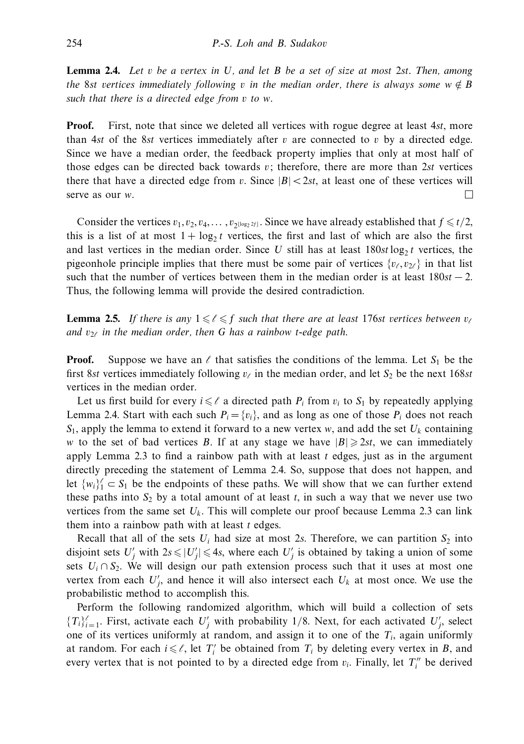**Lemma 2.4.** Let *v* be a vertex in *U*, and let *B* be a set of size at most 2*st*. Then, among the 8st vertices immediately following *v* in the median order, there is always some  $w \notin B$ such that there is a directed edge from *v* to *w*.

**Proof.** First, note that since we deleted all vertices with rogue degree at least 4*st*, more than 4*st* of the 8*st* vertices immediately after  $v$  are connected to  $v$  by a directed edge. Since we have a median order, the feedback property implies that only at most half of those edges can be directed back towards *v*; therefore, there are more than 2*st* vertices there that have a directed edge from *v*. Since  $|B| < 2st$ , at least one of these vertices will  $\Box$ serve as our *w*.

Consider the vertices  $v_1, v_2, v_4, \ldots, v_{2^{\lfloor \log_2 2f \rfloor}}$ . Since we have already established that  $f \le t/2$ , this is a list of at most  $1 + \log_2 t$  vertices, the first and last of which are also the first and last vertices in the median order. Since *U* still has at least  $180st \log_2 t$  vertices, the pigeonhole principle implies that there must be some pair of vertices  $\{v_\ell, v_{2\ell}\}\$  in that list such that the number of vertices between them in the median order is at least  $180st - 2$ . Thus, the following lemma will provide the desired contradiction.

**Lemma 2.5.** If there is any  $1 \leqslant \ell \leqslant f$  such that there are at least 176st vertices between  $v_{\ell}$ and  $v_{2\ell}$  in the median order, then G has a rainbow *t*-edge path.

**Proof.** Suppose we have an  $\ell$  that satisfies the conditions of the lemma. Let  $S_1$  be the first 8*st* vertices immediately following  $v_\ell$  in the median order, and let  $S_2$  be the next 168*st* vertices in the median order.

Let us first build for every  $i \leq \ell$  a directed path  $P_i$  from  $v_i$  to  $S_1$  by repeatedly applying Lemma 2.4. Start with each such  $P_i = \{v_i\}$ , and as long as one of those  $P_i$  does not reach  $S_1$ , apply the lemma to extend it forward to a new vertex *w*, and add the set  $U_k$  containing *w* to the set of bad vertices *B*. If at any stage we have  $|B| \ge 2st$ , we can immediately apply Lemma 2.3 to find a rainbow path with at least *t* edges, just as in the argument directly preceding the statement of Lemma 2.4. So, suppose that does not happen, and let  $\{w_i\}_1^{\ell} \subset S_1$  be the endpoints of these paths. We will show that we can further extend these paths into  $S_2$  by a total amount of at least  $t$ , in such a way that we never use two vertices from the same set  $U_k$ . This will complete our proof because Lemma 2.3 can link them into a rainbow path with at least *t* edges.

Recall that all of the sets  $U_i$  had size at most 2*s*. Therefore, we can partition  $S_2$  into disjoint sets  $U'_j$  with  $2s \le |U'_j| \le 4s$ , where each  $U'_j$  is obtained by taking a union of some sets  $U_i \cap S_2$ . We will design our path extension process such that it uses at most one vertex from each  $U'_j$ , and hence it will also intersect each  $U_k$  at most once. We use the probabilistic method to accomplish this.

Perform the following randomized algorithm, which will build a collection of sets  ${T_i}_{i=1}^{\ell}$ . First, activate each  $U'_j$  with probability 1/8. Next, for each activated  $U'_j$ , select one of its vertices uniformly at random, and assign it to one of the *Ti*, again uniformly at random. For each  $i \leq \ell$ , let  $T_i'$  be obtained from  $T_i$  by deleting every vertex in *B*, and every vertex that is not pointed to by a directed edge from  $v_i$ . Finally, let  $T_i''$  be derived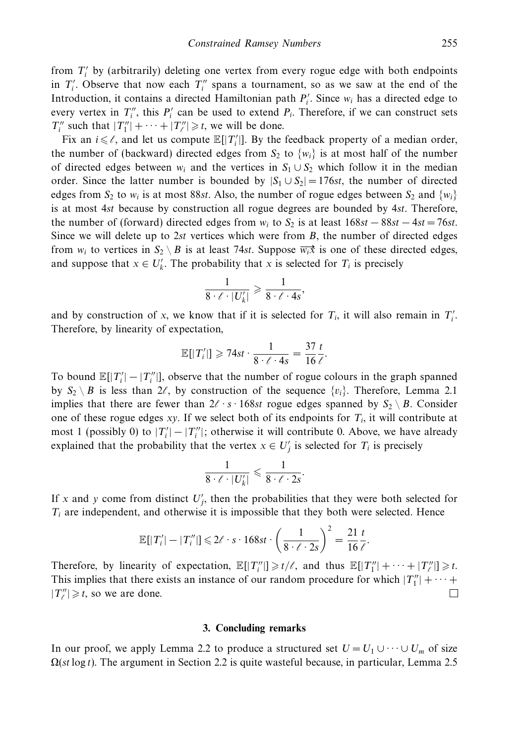from *T <sup>i</sup>* by (arbitrarily) deleting one vertex from every rogue edge with both endpoints in  $T_i'$ . Observe that now each  $T_i''$  spans a tournament, so as we saw at the end of the Introduction, it contains a directed Hamiltonian path  $P_i'$ . Since  $w_i$  has a directed edge to every vertex in  $T_i''$ , this  $P_i'$  can be used to extend  $P_i$ . Therefore, if we can construct sets *T*<sup>"</sup> such that  $|T_1''| + \cdots + |T_\ell''| \geq t$ , we will be done.

Fix an  $i \leq \ell$ , and let us compute  $\mathbb{E}[|T_i|]$ . By the feedback property of a median order, the number of (backward) directed edges from  $S_2$  to  $\{w_i\}$  is at most half of the number of directed edges between  $w_i$  and the vertices in  $S_1 \cup S_2$  which follow it in the median order. Since the latter number is bounded by  $|S_1 \cup S_2| = 176st$ , the number of directed edges from  $S_2$  to  $w_i$  is at most 88*st*. Also, the number of rogue edges between  $S_2$  and  $\{w_i\}$ is at most 4*st* because by construction all rogue degrees are bounded by 4*st*. Therefore, the number of (forward) directed edges from  $w_i$  to  $S_2$  is at least  $168st - 88st - 4st = 76st$ . Since we will delete up to 2*st* vertices which were from *B*, the number of directed edges from  $w_i$  to vertices in  $S_2 \setminus B$  is at least 74*st*. Suppose  $\overrightarrow{w_i x}$  is one of these directed edges, and suppose that  $x \in U'_{k}$ . The probability that *x* is selected for  $T_{i}$  is precisely

$$
\frac{1}{8 \cdot \ell \cdot |U_k'|} \geqslant \frac{1}{8 \cdot \ell \cdot 4s},
$$

and by construction of *x*, we know that if it is selected for  $T_i$ , it will also remain in  $T'_i$ . Therefore, by linearity of expectation,

$$
\mathbb{E}[|T'_i|] \geqslant 74st \cdot \frac{1}{8 \cdot \ell \cdot 4s} = \frac{37}{16} \frac{t}{\ell}.
$$

To bound  $\mathbb{E}[|T_i'|-|T_i''|]$ , observe that the number of rogue colours in the graph spanned by  $S_2 \setminus B$  is less than  $2\ell$ , by construction of the sequence  $\{v_i\}$ . Therefore, Lemma 2.1 implies that there are fewer than  $2\ell \cdot s \cdot 168st$  rogue edges spanned by  $S_2 \setminus B$ . Consider one of these rogue edges  $xy$ . If we select both of its endpoints for  $T_i$ , it will contribute at most 1 (possibly 0) to  $|T_i'|-|T_i''|$ ; otherwise it will contribute 0. Above, we have already explained that the probability that the vertex  $x \in U'_j$  is selected for  $T_i$  is precisely

$$
\frac{1}{8 \cdot \ell \cdot |U_k'|} \leqslant \frac{1}{8 \cdot \ell \cdot 2s}.
$$

If *x* and *y* come from distinct  $U'_j$ , then the probabilities that they were both selected for  $T_i$  are independent, and otherwise it is impossible that they both were selected. Hence

$$
\mathbb{E}[|T'_i| - |T''_i|] \leq 2\ell \cdot s \cdot 168st \cdot \left(\frac{1}{8 \cdot \ell \cdot 2s}\right)^2 = \frac{21}{16} \frac{t}{\ell}.
$$

Therefore, by linearity of expectation,  $\mathbb{E}[|T_i''|] \ge t/\ell$ , and thus  $\mathbb{E}[|T_1''| + \cdots + |T_\ell''|] \ge t$ . This implies that there exists an instance of our random procedure for which  $|T_1''| + \cdots$  $|T''_{\ell}| \geq t$ , so we are done.  $\Box$ 

## **3. Concluding remarks**

In our proof, we apply Lemma 2.2 to produce a structured set  $U = U_1 \cup \cdots \cup U_m$  of size Ω(*st* log *t*). The argument in Section 2.2 is quite wasteful because, in particular, Lemma 2.5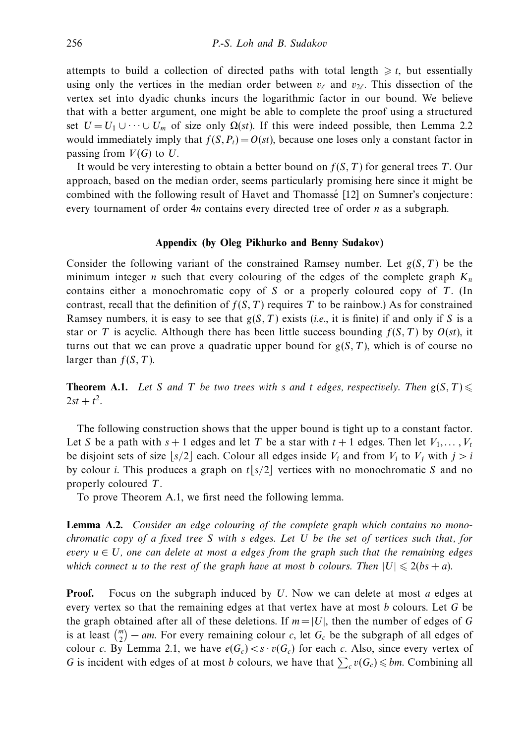attempts to build a collection of directed paths with total length  $\geq t$ , but essentially using only the vertices in the median order between  $v_\ell$  and  $v_{2\ell}$ . This dissection of the vertex set into dyadic chunks incurs the logarithmic factor in our bound. We believe that with a better argument, one might be able to complete the proof using a structured set  $U = U_1 \cup \cdots \cup U_m$  of size only  $\Omega(st)$ . If this were indeed possible, then Lemma 2.2 would immediately imply that  $f(S, P_t) = O(st)$ , because one loses only a constant factor in passing from  $V(G)$  to  $U$ .

It would be very interesting to obtain a better bound on *f*(*S,T*) for general trees *T*. Our approach, based on the median order, seems particularly promising here since it might be combined with the following result of Havet and Thomasse [12] on Sumner's conjecture: ´ every tournament of order 4*n* contains every directed tree of order *n* as a subgraph.

#### **Appendix (by Oleg Pikhurko and Benny Sudakov)**

Consider the following variant of the constrained Ramsey number. Let *g*(*S,T*) be the minimum integer *n* such that every colouring of the edges of the complete graph  $K_n$ contains either a monochromatic copy of *S* or a properly coloured copy of *T*. (In contrast, recall that the definition of  $f(S, T)$  requires T to be rainbow.) As for constrained Ramsey numbers, it is easy to see that  $g(S, T)$  exists (*i.e.*, it is finite) if and only if *S* is a star or *T* is acyclic. Although there has been little success bounding  $f(S, T)$  by  $O(st)$ , it turns out that we can prove a quadratic upper bound for  $g(S, T)$ , which is of course no larger than  $f(S, T)$ .

**Theorem A.1.** Let *S* and *T* be two trees with *s* and *t* edges, respectively. Then  $g(S,T)$  $2st + t^2$ .

The following construction shows that the upper bound is tight up to a constant factor. Let *S* be a path with  $s + 1$  edges and let *T* be a star with  $t + 1$  edges. Then let  $V_1, \ldots, V_t$ be disjoint sets of size  $|s/2|$  each. Colour all edges inside  $V_i$  and from  $V_i$  to  $V_j$  with  $j>i$ by colour *i*. This produces a graph on  $t |s/2|$  vertices with no monochromatic *S* and no properly coloured *T*.

To prove Theorem A.1, we first need the following lemma.

**Lemma A.2.** Consider an edge colouring of the complete graph which contains no monochromatic copy of a fixed tree *S* with *s* edges. Let *U* be the set of vertices such that, for every  $u \in U$ , one can delete at most a edges from the graph such that the remaining edges which connect  $u$  to the rest of the graph have at most  $b$  colours. Then  $|U| \leqslant 2 (bs + a)$ .

**Proof.** Focus on the subgraph induced by *U*. Now we can delete at most *a* edges at every vertex so that the remaining edges at that vertex have at most *b* colours. Let *G* be the graph obtained after all of these deletions. If  $m = |U|$ , then the number of edges of *G* is at least  $\binom{m}{2}$  – *am*. For every remaining colour *c*, let  $G_c$  be the subgraph of all edges of colour *c*. By Lemma 2.1, we have  $e(G_c) < s \cdot v(G_c)$  for each *c*. Also, since every vertex of *G* is incident with edges of at most *b* colours, we have that  $\sum_{c} v(G_c) \leq b_m$ . Combining all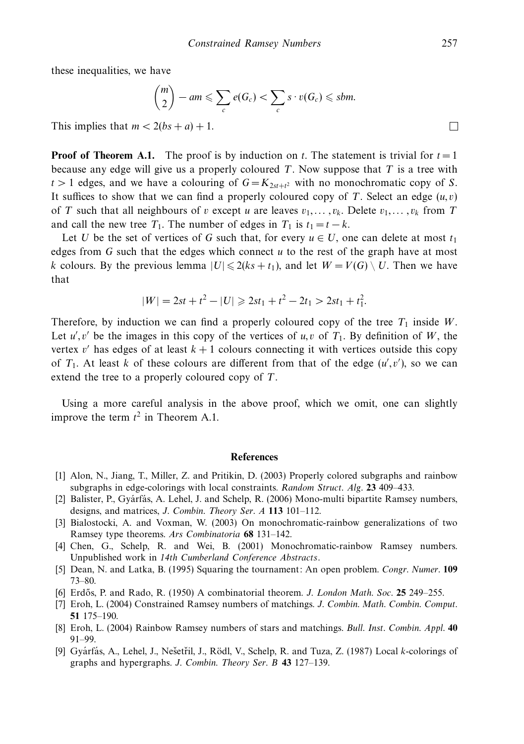these inequalities, we have

$$
\binom{m}{2} - am \leqslant \sum_{c} e(G_c) < \sum_{c} s \cdot v(G_c) \leqslant sbm.
$$
\n
$$
2(bs + a) + 1.
$$

This implies that  $m < 2(bs + a) + 1$ .

**Proof of Theorem A.1.** The proof is by induction on *t*. The statement is trivial for  $t = 1$ because any edge will give us a properly coloured *T*. Now suppose that *T* is a tree with  $t > 1$  edges, and we have a colouring of  $G = K_{2st+t^2}$  with no monochromatic copy of *S*. It suffices to show that we can find a properly coloured copy of *T*. Select an edge  $(u, v)$ of *T* such that all neighbours of *v* except *u* are leaves  $v_1, \ldots, v_k$ . Delete  $v_1, \ldots, v_k$  from *T* and call the new tree  $T_1$ . The number of edges in  $T_1$  is  $t_1 = t - k$ .

Let *U* be the set of vertices of *G* such that, for every  $u \in U$ , one can delete at most  $t_1$ edges from *G* such that the edges which connect *u* to the rest of the graph have at most *k* colours. By the previous lemma  $|U| \le 2(ks + t_1)$ , and let  $W = V(G) \setminus U$ . Then we have that

$$
|W| = 2st + t^2 - |U| \ge 2st_1 + t^2 - 2t_1 > 2st_1 + t_1^2.
$$

Therefore, by induction we can find a properly coloured copy of the tree  $T_1$  inside  $W$ . Let  $u'$ ,  $v'$  be the images in this copy of the vertices of  $u, v$  of  $T_1$ . By definition of *W*, the vertex  $v'$  has edges of at least  $k + 1$  colours connecting it with vertices outside this copy of  $T_1$ . At least *k* of these colours are different from that of the edge  $(u', v')$ , so we can extend the tree to a properly coloured copy of *T*.

Using a more careful analysis in the above proof, which we omit, one can slightly improve the term  $t^2$  in Theorem A.1.

#### **References**

- [1] Alon, N., Jiang, T., Miller, Z. and Pritikin, D. (2003) Properly colored subgraphs and rainbow subgraphs in edge-colorings with local constraints. Random Struct. Alg. **23** 409–433.
- [2] Balister, P., Gyárfás, A. Lehel, J. and Schelp, R. (2006) Mono-multi bipartite Ramsey numbers, designs, and matrices, J. Combin. Theory Ser. A **113** 101–112.
- [3] Bialostocki, A. and Voxman, W. (2003) On monochromatic-rainbow generalizations of two Ramsey type theorems. Ars Combinatoria **68** 131–142.
- [4] Chen, G., Schelp, R. and Wei, B. (2001) Monochromatic-rainbow Ramsey numbers. Unpublished work in 14th Cumberland Conference Abstracts.
- [5] Dean, N. and Latka, B. (1995) Squaring the tournament: An open problem. Congr. Numer. **109** 73–80.
- [6] Erd˝os, P. and Rado, R. (1950) A combinatorial theorem. J. London Math. Soc. **25** 249–255.
- [7] Eroh, L. (2004) Constrained Ramsey numbers of matchings. J. Combin. Math. Combin. Comput. **51** 175–190.
- [8] Eroh, L. (2004) Rainbow Ramsey numbers of stars and matchings. Bull. Inst. Combin. Appl. **40** 91–99.
- [9] Gyárfás, A., Lehel, J., Nešetřil, J., Rödl, V., Schelp, R. and Tuza, Z. (1987) Local *k*-colorings of graphs and hypergraphs. J. Combin. Theory Ser. B **43** 127–139.